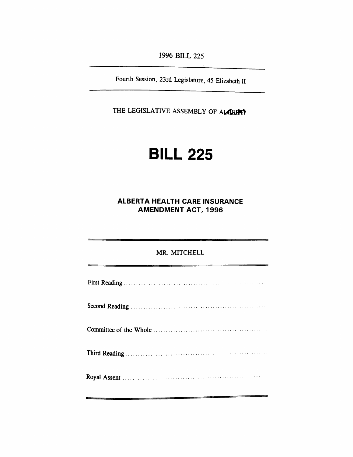*1996 BILL 225*

 $\mathcal{L}$ 

*Fourth Session, 23rd Legislature, 45 Elizabeth II*

*THE LEGISLATIVE ASSEMBLY OF ALBERTA*

## *BILL 225*

#### *ALBERTA HEALTH CARE INSURANCE AMENDMENT ACT, 1996*

# *MR. MITCHELL First Reading Second Reading Committee of the Whole Third Reading Royal Assent*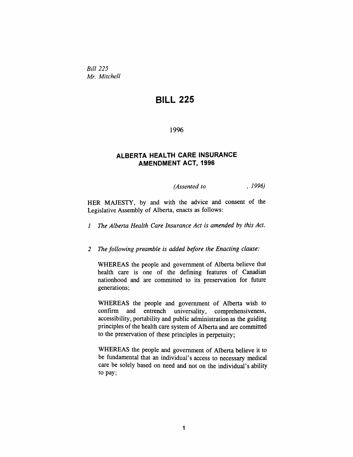*Bill 225 Mr. Mitchell*

### *BILL 225*

*1996*

#### *ALBERTA HEALTH CARE INSURANCE AMENDMENT ACT, 1996*

*(Assented to , 1996)*

*HER MAJESTY, by and with the advice and consent of the Legislative Assembly of Alberta, enacts as follows:*

*<sup>1</sup> The Alberta Health Care Insurance Act is amended by this Act.*

*2 The following preamble is added before the Enacting clause:*

*WHEREAS the people and government of Alberta believe that health care is one of the defining features of Canadian nationhood and are committed to its preservation for future generations;*

*WHEREAS the people and government of Alberta wish to confirm and entrench universality, comprehensiveness, accessibility, portability and public administration as the guiding principles of the health care system of Alberta and are committed to the preservation of these principles in perpetuity;*

*WHEREAS the people and government of Alberta believe it to be fundamental that an individual's access to necessary medical care be solely based on need and not on the individual's ability to pay;*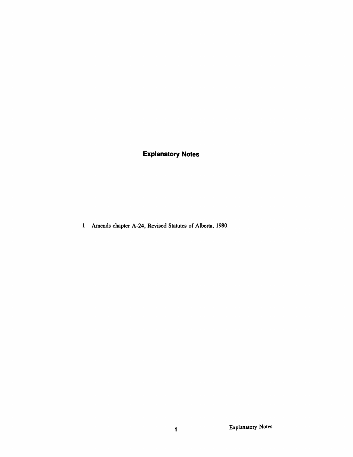*Explanatory Notes*

*<sup>1</sup> Amends chapter A-24, Revised Statutes of Alberta, 1980.*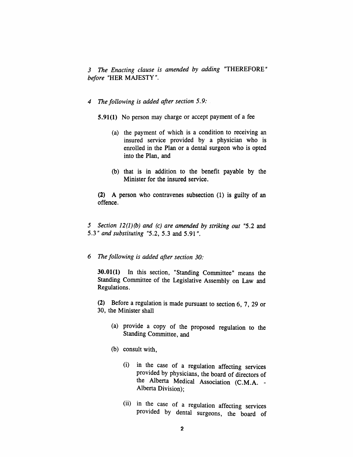*3 The Enacting clause is amended by adding "THEREFORE" before "HER MAJESTY".*

#### *4 The following is added after section 5.9:*

*5.91(1) No person may charge or accept payment of a fee*

- *(a) the payment of which is a condition to receiving an insured service provided by a physician who is enrolled in the Plan or a dental surgeon who is opted into the Plan, and*
- *(b) that is in addition to the benefit payable by the Minister for the insured service.*

*(2) A person who contravenes subsection (1) is guilty of an offence.*

*5 Section 12(1)(b) and (c) are amended by striking out "5.2 and 5.3" and substituting "5.2, 5.3 and 5.91".*

#### *6 The following is added after section 30:*

*30.01(1) In this section, "Standing Committee" means the Standing Committee of the Legislative Assembly on Law and Regulations.*

*(2) Before a regulation is made pursuant to section 6, 7, 29 or 30, the Minister shall*

- *(a) provide a copy of the proposed regulation to the Standing Committee, and*
- *(b) consult with,*
	- *(i) in the case of a regulation affecting services provided by physicians, the board of directors of the Alberta Medical Association (C.M.A. - Alberta Division);*
	- *(ii) in the case of a regulation affecting services provided by dental surgeons, the board of*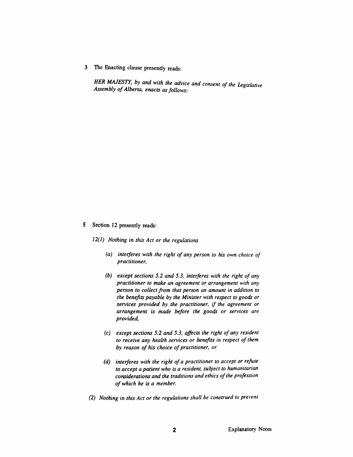*3 The Enacting clause presently reads:*

*HER MAJESTY, by and with the advice and consent of the Legislative Assembly ofAlberta, enacts asfollows:*

#### *5 Section 12 presently reads:*

*12(1) Nothing in this Act or the regulations*

- *(a) interferes with the right of any person to his own choice of practitioner,*
- *(b) except sections 5.2 and 5.3, interferes with the right of any practitioner to make an agreement or arrangement with any person to collectfrom that person an amount in addition to the benefits payable by the Minister with respect to goods or services provided by the practitioner, if the agreement or arrangement is made before the goods or services are provided,*
- *(c) except sections 5.2 and 5.3, affects the right of any resident to receive any health services or benefits in respect of them by reason of his choice ofpractitioner, or*
- *(d) interferes with the right ofa practitioner to accept or refuse to accept a patient who is a resident, subject to humanitarian considerations and the traditions and ethics ofthe profession of which he is a member.*
- *(2) Nothing in this Act or the regulations shall be construed to prevent*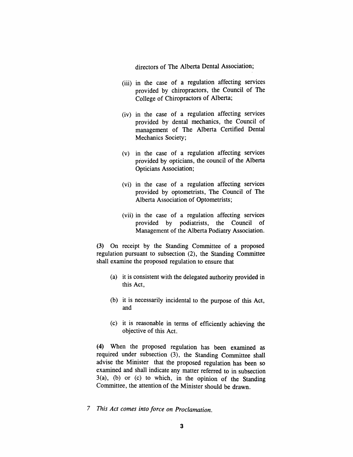*directors of The Alberta Dental Association;*

- *(iii) in the case of a regulation affecting services provided by chiropractors, the Council of The College of Chiropractors of Alberta;*
- *(iv) in the case of a regulation affecting services provided by dental mechanics, the Council of management of The Alberta Certified Dental Mechanics Society;*
- *(v) in the case of a regulation affecting services provided by opticians, the council of the Alberta Opticians Association;*
- *(vi) in the case of a regulation affecting services provided by optometrists, The Council of The Alberta Association of Optometrists;*
- *(vii) in the case of a regulation affecting services provided by podiatrists, the Council of Management of the Alberta Podiatry Association.*

*(3) On receipt by the Standing Committee of a proposed regulation pursuant to subsection (2), the Standing Committee shall examine the proposed regulation to ensure that*

- *(a) it is consistent with the delegated authority provided in this Act,*
- *(b) it is necessarily incidental to the purpose of this Act, and*
- *(c) it is reasonable in terms of efficiently achieving the objective of this Act.*

*(4) When the proposed regulation has been examined as required under subsection (3), the Standing Committee shall advise the Minister that the proposed regulation has been so examined and shall indicate any matter referred to in subsection 3(a), (b) or (c) to which, in the opinion of the Standing Committee, the attention of the Minister should be drawn.*

*7 This Act comes into force on Proclamation.*